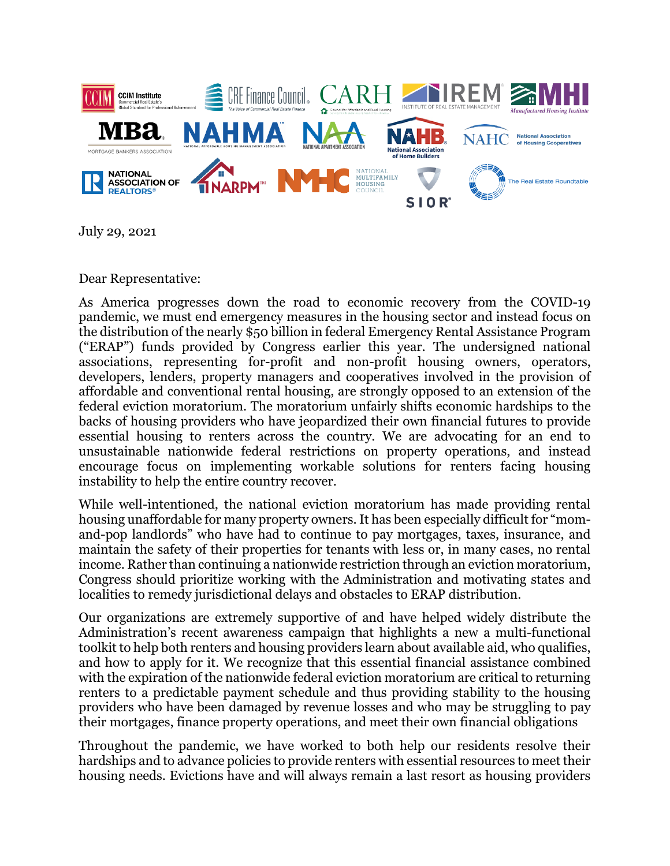

July 29, 2021

Dear Representative:

As America progresses down the road to economic recovery from the COVID-19 pandemic, we must end emergency measures in the housing sector and instead focus on the distribution of the nearly \$50 billion in federal Emergency Rental Assistance Program ("ERAP") funds provided by Congress earlier this year. The undersigned national associations, representing for-profit and non-profit housing owners, operators, developers, lenders, property managers and cooperatives involved in the provision of affordable and conventional rental housing, are strongly opposed to an extension of the federal eviction moratorium. The moratorium unfairly shifts economic hardships to the backs of housing providers who have jeopardized their own financial futures to provide essential housing to renters across the country. We are advocating for an end to unsustainable nationwide federal restrictions on property operations, and instead encourage focus on implementing workable solutions for renters facing housing instability to help the entire country recover.

While well-intentioned, the national eviction moratorium has made providing rental housing unaffordable for many property owners. It has been especially difficult for "momand-pop landlords" who have had to continue to pay mortgages, taxes, insurance, and maintain the safety of their properties for tenants with less or, in many cases, no rental income. Rather than continuing a nationwide restriction through an eviction moratorium, Congress should prioritize working with the Administration and motivating states and localities to remedy jurisdictional delays and obstacles to ERAP distribution.

Our organizations are extremely supportive of and have helped widely distribute the Administration's recent awareness campaign that highlights a new a multi-functional toolkit to help both renters and housing providers learn about available aid, who qualifies, and how to apply for it. We recognize that this essential financial assistance combined with the expiration of the nationwide federal eviction moratorium are critical to returning renters to a predictable payment schedule and thus providing stability to the housing providers who have been damaged by revenue losses and who may be struggling to pay their mortgages, finance property operations, and meet their own financial obligations

Throughout the pandemic, we have worked to both help our residents resolve their hardships and to advance policies to provide renters with essential resources to meet their housing needs. Evictions have and will always remain a last resort as housing providers